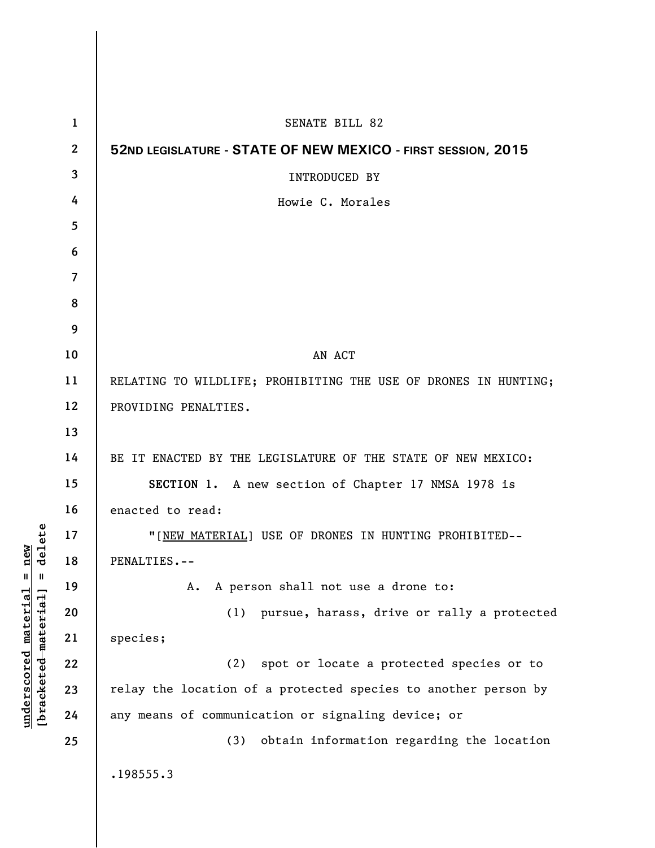| $\mathbf{1}$             | <b>SENATE BILL 82</b>                                           |
|--------------------------|-----------------------------------------------------------------|
| $\mathbf{2}$             | 52ND LEGISLATURE - STATE OF NEW MEXICO - FIRST SESSION, 2015    |
| 3                        | INTRODUCED BY                                                   |
| 4                        | Howie C. Morales                                                |
| $5\phantom{.0}$          |                                                                 |
| 6                        |                                                                 |
| $\overline{\mathcal{L}}$ |                                                                 |
| 8                        |                                                                 |
| 9                        |                                                                 |
| 10                       | AN ACT                                                          |
| 11                       | RELATING TO WILDLIFE; PROHIBITING THE USE OF DRONES IN HUNTING; |
| 12                       | PROVIDING PENALTIES.                                            |
| 13                       |                                                                 |
| 14                       | BE IT ENACTED BY THE LEGISLATURE OF THE STATE OF NEW MEXICO:    |
| 15                       | SECTION 1. A new section of Chapter 17 NMSA 1978 is             |
| 16                       | enacted to read:                                                |
| 17                       | "[NEW MATERIAL] USE OF DRONES IN HUNTING PROHIBITED--           |
| 18                       | PENALTIES.--                                                    |
| 19                       | A person shall not use a drone to:<br>Α.                        |
| 20                       | pursue, harass, drive or rally a protected<br>(1)               |
| 21                       | species;                                                        |
| 22                       | spot or locate a protected species or to<br>(2)                 |
| 23                       | relay the location of a protected species to another person by  |
| 24                       | any means of communication or signaling device; or              |
| 25                       | obtain information regarding the location<br>(3)                |
|                          | .198555.3                                                       |
|                          |                                                                 |

 $\overline{\phantom{a}}$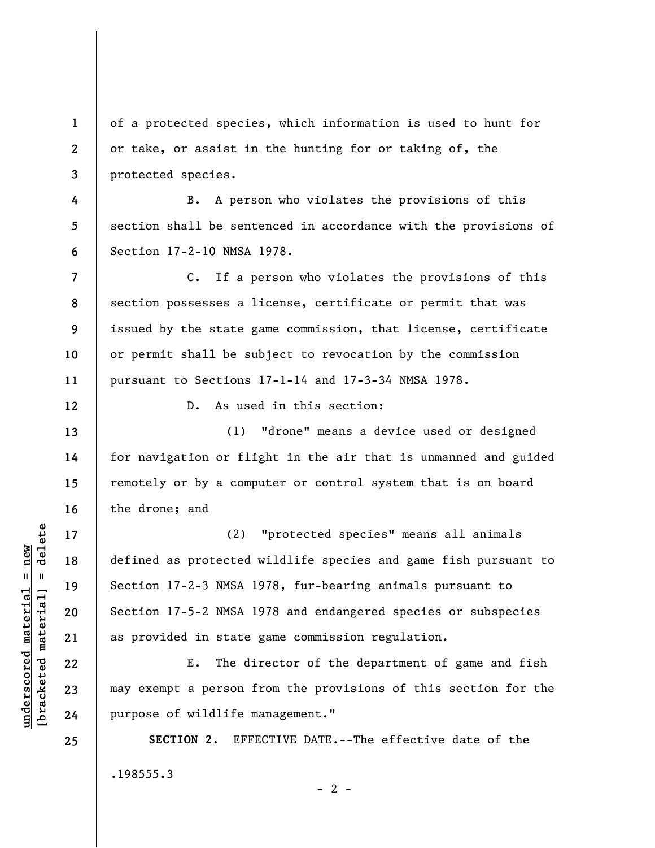of a protected species, which information is used to hunt for or take, or assist in the hunting for or taking of, the protected species.

**4 5 6**  B. A person who violates the provisions of this section shall be sentenced in accordance with the provisions of Section 17-2-10 NMSA 1978.

C. If a person who violates the provisions of this section possesses a license, certificate or permit that was issued by the state game commission, that license, certificate or permit shall be subject to revocation by the commission pursuant to Sections 17-1-14 and 17-3-34 NMSA 1978.

D. As used in this section:

(1) "drone" means a device used or designed for navigation or flight in the air that is unmanned and guided remotely or by a computer or control system that is on board the drone; and

(2) "protected species" means all animals defined as protected wildlife species and game fish pursuant to Section 17-2-3 NMSA 1978, fur-bearing animals pursuant to Section 17-5-2 NMSA 1978 and endangered species or subspecies as provided in state game commission regulation.

E. The director of the department of game and fish may exempt a person from the provisions of this section for the purpose of wildlife management."

**SECTION 2.** EFFECTIVE DATE.--The effective date of the .198555.3

 $- 2 -$ 

 $\frac{1}{2}$  of  $\frac{1}{2}$  and  $\frac{1}{2}$  and  $\frac{1}{2}$  and  $\frac{1}{2}$  and  $\frac{1}{2}$  and  $\frac{1}{2}$  and  $\frac{1}{2}$  and  $\frac{1}{2}$  and  $\frac{1}{2}$  and  $\frac{1}{2}$  and  $\frac{1}{2}$  and  $\frac{1}{2}$  and  $\frac{1}{2}$  and  $\frac{1}{2}$  and  $\frac{1}{2}$  an **[bracketed material] = delete**  $underscored material = new$ **underscored material = new**

**25** 

**1** 

**2** 

**3** 

**7** 

**8** 

**9** 

**10** 

**11** 

**12** 

**13** 

**14** 

**15** 

**16** 

**17** 

**18** 

**19** 

**20** 

**21** 

**22** 

**23** 

**24**